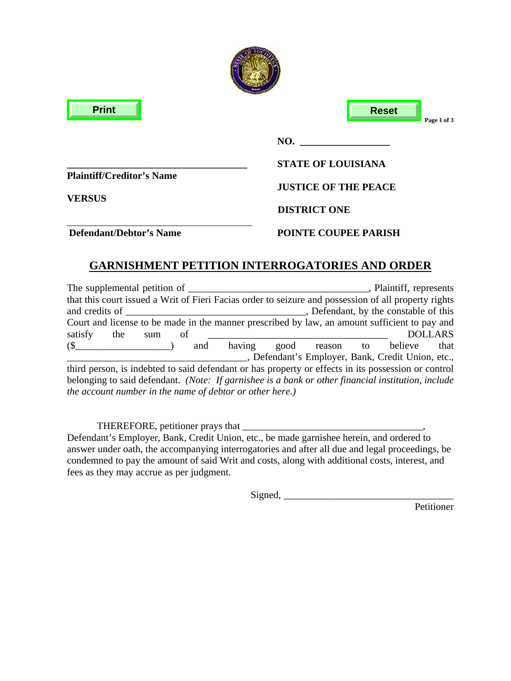| <b>Print</b>                                      | <b>Reset</b><br>Page 1 of 3 |
|---------------------------------------------------|-----------------------------|
|                                                   | NO.                         |
|                                                   | <b>STATE OF LOUISIANA</b>   |
| <b>Plaintiff/Creditor's Name</b><br><b>VERSUS</b> | <b>JUSTICE OF THE PEACE</b> |
|                                                   | <b>DISTRICT ONE</b>         |
| <b>Defendant/Debtor's Name</b>                    | <b>POINTE COUPEE PARISH</b> |

difficulture.

# **GARNISHMENT PETITION INTERROGATORIES AND ORDER**

| The supplemental petition of                                                                         | , Plaintiff, represents                            |
|------------------------------------------------------------------------------------------------------|----------------------------------------------------|
| that this court issued a Writ of Fieri Facias order to seizure and possession of all property rights |                                                    |
| and credits of                                                                                       | Defendant, by the constable of this                |
| Court and license to be made in the manner prescribed by law, an amount sufficient to pay and        |                                                    |
| satisfy<br>the<br>οf<br>sum                                                                          | <b>DOLLARS</b>                                     |
| $\binom{8}{ }$<br>having<br>and                                                                      | good reason to believe<br>that                     |
|                                                                                                      | _, Defendant's Employer, Bank, Credit Union, etc., |
| third person, is indebted to said defendant or has property or effects in its possession or control  |                                                    |
| belonging to said defendant. (Note: If garnishee is a bank or other financial institution, include   |                                                    |
| the account number in the name of debtor or other here.)                                             |                                                    |

 THEREFORE, petitioner prays that \_\_\_\_\_\_\_\_\_\_\_\_\_\_\_\_\_\_\_\_\_\_\_\_\_\_\_\_\_\_\_\_\_\_\_\_, Defendant's Employer, Bank, Credit Union, etc., be made garnishee herein, and ordered to answer under oath, the accompanying interrogatories and after all due and legal proceedings, be condemned to pay the amount of said Writ and costs, along with additional costs, interest, and fees as they may accrue as per judgment.

 $Signal, \_$ 

Petitioner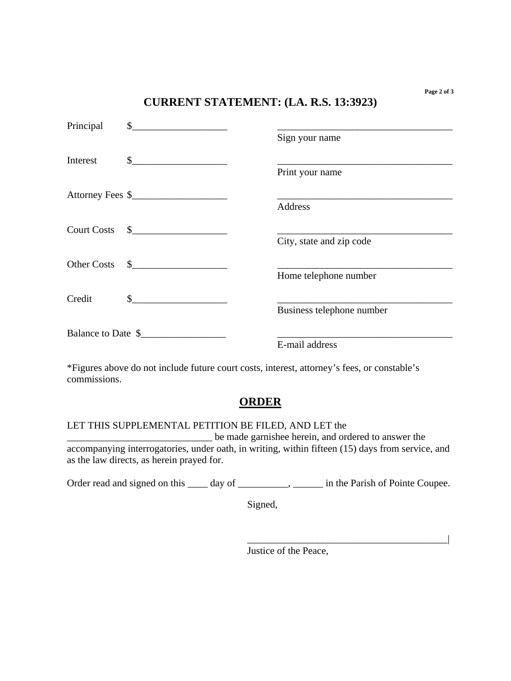### **CURRENT STATEMENT: (LA. R.S. 13:3923)**

| Principal | $\sim$             |                           |
|-----------|--------------------|---------------------------|
|           |                    | Sign your name            |
| Interest  |                    |                           |
|           |                    | Print your name           |
|           | Attorney Fees \$   |                           |
|           |                    | Address                   |
|           | Court Costs \$     |                           |
|           |                    | City, state and zip code  |
|           | Other Costs \$     |                           |
|           |                    | Home telephone number     |
| Credit    | $\sim$             |                           |
|           |                    | Business telephone number |
|           | Balance to Date \$ |                           |
|           |                    | E-mail address            |

\*Figures above do not include future court costs, interest, attorney's fees, or constable's commissions.

## **ORDER**

### LET THIS SUPPLEMENTAL PETITION BE FILED, AND LET the

\_\_\_\_\_\_\_\_\_\_\_\_\_\_\_\_\_\_\_\_\_\_\_\_\_\_\_\_\_ be made garnishee herein, and ordered to answer the accompanying interrogatories, under oath, in writing, within fifteen (15) days from service, and as the law directs, as herein prayed for.

Order read and signed on this \_\_\_\_ day of \_\_\_\_\_\_\_\_\_, \_\_\_\_\_\_\_ in the Parish of Pointe Coupee.

Signed,

Justice of the Peace,

\_\_\_\_\_\_\_\_\_\_\_\_\_\_\_\_\_\_\_\_\_\_\_\_\_\_\_\_\_\_\_\_\_\_\_\_\_\_\_\_|